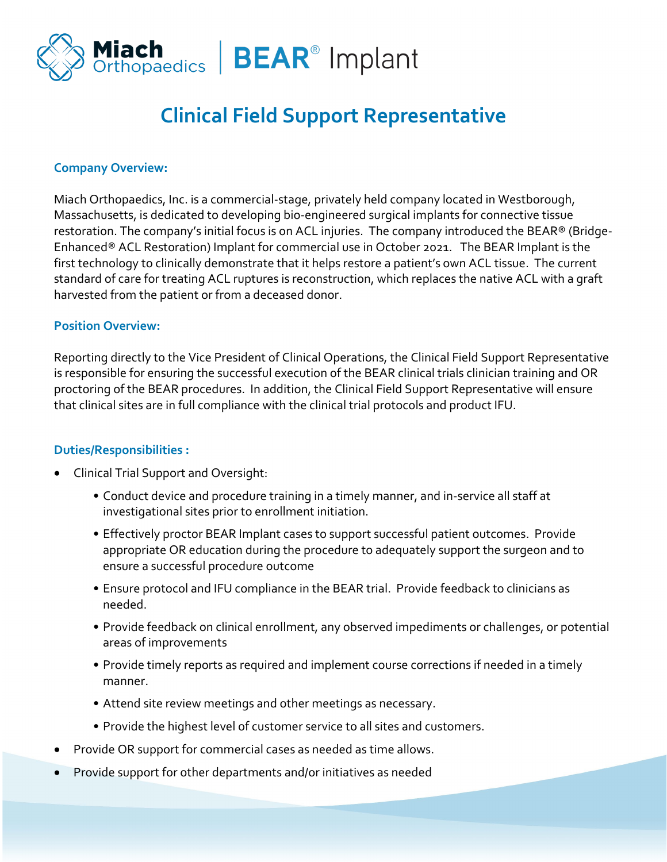

# **Clinical Field Support Representative**

#### **Company Overview:**

Miach Orthopaedics, Inc. is a commercial-stage, privately held company located in Westborough, Massachusetts, is dedicated to developing bio-engineered surgical implants for connective tissue restoration. The company's initial focus is on ACL injuries. The company introduced the BEAR® (Bridge-Enhanced® ACL Restoration) Implant for commercial use in October 2021. The BEAR Implant is the first technology to clinically demonstrate that it helps restore a patient's own ACL tissue. The current standard of care for treating ACL ruptures is reconstruction, which replaces the native ACL with a graft harvested from the patient or from a deceased donor.

#### **Position Overview:**

Reporting directly to the Vice President of Clinical Operations, the Clinical Field Support Representative is responsible for ensuring the successful execution of the BEAR clinical trials clinician training and OR proctoring of the BEAR procedures. In addition, the Clinical Field Support Representative will ensure that clinical sites are in full compliance with the clinical trial protocols and product IFU.

### **Duties/Responsibilities :**

- Clinical Trial Support and Oversight:
	- Conduct device and procedure training in a timely manner, and in-service all staff at investigational sites prior to enrollment initiation.
	- Effectively proctor BEAR Implant cases to support successful patient outcomes. Provide appropriate OR education during the procedure to adequately support the surgeon and to ensure a successful procedure outcome
	- Ensure protocol and IFU compliance in the BEAR trial. Provide feedback to clinicians as needed.
	- Provide feedback on clinical enrollment, any observed impediments or challenges, or potential areas of improvements
	- Provide timely reports as required and implement course corrections if needed in a timely manner.
	- Attend site review meetings and other meetings as necessary.
	- Provide the highest level of customer service to all sites and customers.
- Provide OR support for commercial cases as needed as time allows.
- Provide support for other departments and/or initiatives as needed